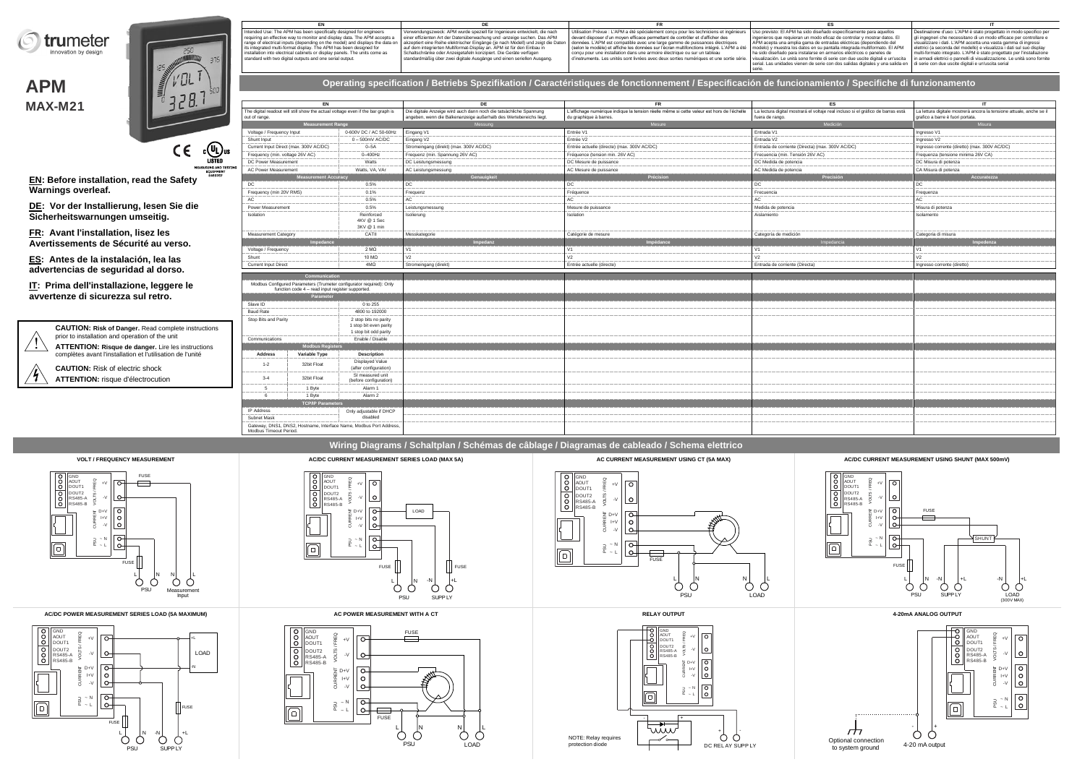

**APM MAX-M21**



**EN: Before installation, read the Safety Warnings overleaf.**

**DE: Vor der Installierung, lesen Sie die Sicherheitswarnungen umseitig.**

**FR: Avant l'installation, lisez les Avertissements de Sécurité au verso.**

**ES: Antes de la instalación, lea las advertencias de seguridad al dorso.**

**IT: Prima dell'installazione, leggere le avvertenze di sicurezza sul retro.**

> **CAUTION: Risk of Danger.** Read complete instructions prior to installation and operation of the unit **ATTENTION: Risque de danger.** Lire les instructions

complètes avant l'installation et l'utilisation de l'unité

**CAUTION:** Risk of electric shock **ATTENTION:** risque d'électrocution Intended Use: The APM has been specifically designed for engineers<br>requiring an effective way to monitor and display data. The APM accepts a<br>range of electrical inputs (depending on the model) and displays the data on<br>its

| Verwendungszweck: APM wurde speziell für Ingenieure entwickelt, die nach<br>Utilisation Prévue : L'APM a été spécialement conçu pour les techniciens et ingénieurs   Uso previsto: El APM ha sido diseñado específicamente para aquellos<br>Destinazione d'uso: L'APM è stato progettato in modo specifico per<br>and display data. The APM accepts a einer effizienten Art der Datenüberwachung und -anzeige suchen. Das APM<br>devant disposer d'un moven efficace permettant de contrôler et d'afficher des<br>ingenieros que requieran un modo eficaz de controlar y mostrar datos. El<br>gli ingegneri che necessitano di un modo efficace per controllare e<br>on the model) and displays the data on akzeptiert eine Reihe elektrischer Eingänge (je nach Modell) und zeigt die Daten   données. L'APM est compatible avec une large gamme de puissances électriques<br>APM acepta una amplia gama de entradas eléctricas (dependiendo del<br>visualizzare i dati. L'APM accetta una vasta gamma di ingressi<br>selon le modèle) et affiche les données sur l'écran multifonctions intégré. L'APM a été   modelo) y muestra los datos en su pantalla integrada multiformato. El APM<br>auf dem integrierten Multiformat-Display an. APM ist für den Einbau in<br>elettrici (a seconda del modello) e visualizza i dati sul suo display<br>concu pour une installation dans une armoire électrique ou sur un tableau<br>ha sido diseñado para instalarse en armarios eléctricos o paneles de<br>Schaltschränke oder Anzeigetafeln konzipiert. Die Geräte verfügen<br>multi-formato integrato. L'APM è stato progettato per l'installazione<br>d'instruments. Les unités sont livrées avec deux sorties numériques et une sortie série. I visualización. Le unità sono fornite di serie con due uscite digitali e un'uscita in armadi elettrici o pannelli di visualizzazione<br>standardmäßig über zwei digitale Ausgänge und einen seriellen Ausgang.<br>serial. Las unidades vienen de serie con dos salidas digitales y una salida en di serie con due uscite digitali e un'uscita serial<br>serie. |                                                                                                                             |  |  |
|--------------------------------------------------------------------------------------------------------------------------------------------------------------------------------------------------------------------------------------------------------------------------------------------------------------------------------------------------------------------------------------------------------------------------------------------------------------------------------------------------------------------------------------------------------------------------------------------------------------------------------------------------------------------------------------------------------------------------------------------------------------------------------------------------------------------------------------------------------------------------------------------------------------------------------------------------------------------------------------------------------------------------------------------------------------------------------------------------------------------------------------------------------------------------------------------------------------------------------------------------------------------------------------------------------------------------------------------------------------------------------------------------------------------------------------------------------------------------------------------------------------------------------------------------------------------------------------------------------------------------------------------------------------------------------------------------------------------------------------------------------------------------------------------------------------------------------------------------------------------------------------------------------------------------------------------------------------------------------------------------------------------------------------------------------------------------------------------------------------|-----------------------------------------------------------------------------------------------------------------------------|--|--|
|                                                                                                                                                                                                                                                                                                                                                                                                                                                                                                                                                                                                                                                                                                                                                                                                                                                                                                                                                                                                                                                                                                                                                                                                                                                                                                                                                                                                                                                                                                                                                                                                                                                                                                                                                                                                                                                                                                                                                                                                                                                                                                              |                                                                                                                             |  |  |
|                                                                                                                                                                                                                                                                                                                                                                                                                                                                                                                                                                                                                                                                                                                                                                                                                                                                                                                                                                                                                                                                                                                                                                                                                                                                                                                                                                                                                                                                                                                                                                                                                                                                                                                                                                                                                                                                                                                                                                                                                                                                                                              | ecifically designed for engineers<br>e APM has been designed for<br>display panels. The units come as<br>one serial output. |  |  |

**Operating specification / Betriebs Spezifikation / Caractéristiques de fonctionnement / Especificación de funcionamiento / Specifiche di funzionamento**

| EN                                                                                               |                                                 | DE                                                                                                                                       | <b>FR</b>                                                                                                            | <b>ES</b>                                                                                           | $\mathsf{I}$                                                                                             |
|--------------------------------------------------------------------------------------------------|-------------------------------------------------|------------------------------------------------------------------------------------------------------------------------------------------|----------------------------------------------------------------------------------------------------------------------|-----------------------------------------------------------------------------------------------------|----------------------------------------------------------------------------------------------------------|
| The digital readout will still show the actual voltage even if the bar graph is<br>out of range. |                                                 | Die digitale Anzeige wird auch dann noch die tatsächliche Spannung<br>angeben, wenn die Balkenanzeige außerhalb des Wertebereichs liegt. | L'affichage numérique indique la tension réelle même si cette valeur est hors de l'échelle<br>du graphique à barres. | La lectura digital mostrará el voltaje real incluso si el gráfico de barras está<br>fuera de rango. | La lettura digitale mostrerà ancora la tensione attuale, anche se il<br>grafico a barre è fuori portata. |
| <b>Measurement Range</b>                                                                         |                                                 | Messung                                                                                                                                  | Mesure                                                                                                               | Medición                                                                                            | Misura                                                                                                   |
| Voltage / Frequency Input                                                                        | 0-600V DC / AC 50-60Hz                          | Eingang V1                                                                                                                               | Entrée V1                                                                                                            | Entrada V1                                                                                          | Ingresso V1                                                                                              |
| Shunt Input                                                                                      | $0 - 500$ mV AC/DC                              | Eingang V2                                                                                                                               | Entrée V2                                                                                                            | Entrada V2                                                                                          | Ingresso V2                                                                                              |
| Current Input Direct (max. 300V AC/DC)                                                           | $0 - 5A$                                        | Stromeingang (direkt) (max. 300V AC/DC)                                                                                                  | Entrée actuelle (directe) (max. 300V AC/DC)                                                                          | Entrada de corriente (Directa) (max. 300V AC/DC)                                                    | Ingresso corrente (diretto) (max. 300V AC/DC)                                                            |
| Frequency (min. voltage 26V AC)                                                                  | 0-400Hz                                         | Frequenz (min. Spannung 26V AC)                                                                                                          | Fréquence (tension min. 26V AC)                                                                                      | Frecuencia (min. Tensión 26V AC)                                                                    | Frequenza (tensione minima 26V CA)                                                                       |
| DC Power Measurement                                                                             | Watts                                           | DC Leistungsmessung                                                                                                                      | DC Mesure de puissance                                                                                               | DC Medida de potencia                                                                               | DC Misura di potenza                                                                                     |
| AC Power Measurement                                                                             | Watts, VA, VAr                                  | AC Leistungsmessung                                                                                                                      | AC Mesure de puissance                                                                                               | AC Medida de potencia                                                                               | CA Misura di potenza                                                                                     |
| Measurement Accuracy                                                                             |                                                 | Genauigkeit                                                                                                                              | Précision                                                                                                            | Precisión                                                                                           | Accuratezza                                                                                              |
| DC                                                                                               | 0.5%                                            | DC                                                                                                                                       | DC                                                                                                                   | DC                                                                                                  | DC                                                                                                       |
| Frequency (min 20V RMS)                                                                          | 0.1%                                            | Frequenz                                                                                                                                 | Fréquence                                                                                                            | Frecuencia                                                                                          | Frequenza                                                                                                |
| AC                                                                                               | 0.5%                                            | AC                                                                                                                                       | AC                                                                                                                   | AC                                                                                                  | AC.                                                                                                      |
| Power Measurement                                                                                | 0.5%                                            | Leistungsmessung                                                                                                                         | Mesure de puissance                                                                                                  | Medida de potencia                                                                                  | Misura di potenza                                                                                        |
| Isolation                                                                                        | Reinforced                                      | Isolierung                                                                                                                               | Isolation                                                                                                            | Aislamiento                                                                                         | Isolamento                                                                                               |
|                                                                                                  | 4KV @ 1 Sec<br>3KV @ 1 min                      |                                                                                                                                          |                                                                                                                      |                                                                                                     |                                                                                                          |
| <b>Measurement Category</b>                                                                      | CATIL                                           | Messkategorie                                                                                                                            | Catégorie de mesure                                                                                                  | Categoría de medición                                                                               | Categoria di misura                                                                                      |
| Impedance                                                                                        |                                                 | Impedanz                                                                                                                                 | Impédance                                                                                                            | Impedancia                                                                                          | Impedenza                                                                                                |
| Voltage / Frequency                                                                              | $2 M\Omega$                                     | V <sub>1</sub>                                                                                                                           | V1                                                                                                                   | V <sub>1</sub>                                                                                      | V1                                                                                                       |
| Shunt                                                                                            | 10 $M\Omega$                                    | V <sub>2</sub>                                                                                                                           | V <sub>2</sub>                                                                                                       | V <sub>2</sub>                                                                                      | V <sub>2</sub>                                                                                           |
| <b>Current Input Direct</b>                                                                      | $4M\Omega$                                      | Stromeingang (direkt)                                                                                                                    | Entrée actuelle (directe)                                                                                            | Entrada de corriente (Directa)                                                                      | Ingresso corrente (diretto)                                                                              |
| Communication                                                                                    |                                                 |                                                                                                                                          |                                                                                                                      |                                                                                                     |                                                                                                          |
| Modbus Configured Parameters (Trumeter configurator required): Only                              |                                                 |                                                                                                                                          |                                                                                                                      |                                                                                                     |                                                                                                          |
| function code 4 - read input register supported.                                                 |                                                 |                                                                                                                                          |                                                                                                                      |                                                                                                     |                                                                                                          |
| Parameter                                                                                        |                                                 |                                                                                                                                          |                                                                                                                      |                                                                                                     |                                                                                                          |
| Slave ID                                                                                         | 0 to 255                                        |                                                                                                                                          |                                                                                                                      |                                                                                                     |                                                                                                          |
| <b>Baud Rate</b>                                                                                 | 4800 to 192000                                  |                                                                                                                                          |                                                                                                                      |                                                                                                     |                                                                                                          |
| Stop Bits and Parity                                                                             | 2 stop bits no parity                           |                                                                                                                                          |                                                                                                                      |                                                                                                     |                                                                                                          |
|                                                                                                  | 1 stop bit even parity<br>1 stop bit odd parity |                                                                                                                                          |                                                                                                                      |                                                                                                     |                                                                                                          |
| Communications                                                                                   | Enable / Disable                                |                                                                                                                                          |                                                                                                                      |                                                                                                     |                                                                                                          |
| <b>Modbus Registers</b>                                                                          |                                                 |                                                                                                                                          |                                                                                                                      |                                                                                                     |                                                                                                          |
| Variable Type<br><b>Address</b>                                                                  | <b>Description</b>                              |                                                                                                                                          |                                                                                                                      |                                                                                                     |                                                                                                          |
|                                                                                                  | <b>Displayed Value</b>                          |                                                                                                                                          |                                                                                                                      |                                                                                                     |                                                                                                          |
| 32bit Float<br>$1 - 2$                                                                           | (after configuration)                           |                                                                                                                                          |                                                                                                                      |                                                                                                     |                                                                                                          |
| $3 - 4$<br>32bit Float                                                                           | SI measured unit                                |                                                                                                                                          |                                                                                                                      |                                                                                                     |                                                                                                          |
|                                                                                                  | (before configuration)                          |                                                                                                                                          |                                                                                                                      |                                                                                                     |                                                                                                          |
| 1 Byte<br>$5^{\circ}$                                                                            | Alarm 1                                         |                                                                                                                                          |                                                                                                                      |                                                                                                     |                                                                                                          |
| 1 Byte<br>$\kappa$                                                                               | Alarm 2                                         |                                                                                                                                          |                                                                                                                      |                                                                                                     |                                                                                                          |
| <b>TCP/IP Parameters</b><br>IP Address                                                           |                                                 |                                                                                                                                          |                                                                                                                      |                                                                                                     |                                                                                                          |
|                                                                                                  | Only adjustable if DHCP                         |                                                                                                                                          |                                                                                                                      |                                                                                                     |                                                                                                          |
|                                                                                                  |                                                 |                                                                                                                                          |                                                                                                                      |                                                                                                     |                                                                                                          |
| Subnet Mask                                                                                      | disabled                                        |                                                                                                                                          |                                                                                                                      |                                                                                                     |                                                                                                          |
| Gateway, DNS1, DNS2, Hostname, Interface Name, Modbus Port Address<br>Modbus Timeout Period.     |                                                 |                                                                                                                                          |                                                                                                                      |                                                                                                     |                                                                                                          |

## **Wiring Diagrams / Schaltplan / Schémas de câblage / Diagramas de cableado / Schema elettrico**

**AC/DC POWER MEASUREMENT SERIES LOAD (5A MAXIMUM) AC POWER MEASUREMENT WITH A CT RELAY OUTPUT 4-20mA ANALOG OUTPUT** 

















to system ground